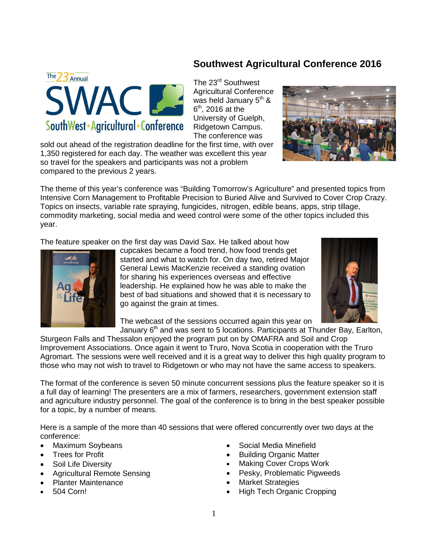## **Southwest Agricultural Conference 2016**



sold out ahead of the registration deadline for the first time, with over 1,350 registered for each day. The weather was excellent this year so travel for the speakers and participants was not a problem compared to the previous 2 years.

**NAC LE** 

SouthWest · Agricultural · Conference

The theme of this year's conference was "Building Tomorrow's Agriculture" and presented topics from Intensive Corn Management to Profitable Precision to Buried Alive and Survived to Cover Crop Crazy. Topics on insects, variable rate spraying, fungicides, nitrogen, edible beans, apps, strip tillage, commodity marketing, social media and weed control were some of the other topics included this year.

The feature speaker on the first day was David Sax. He talked about how



The 23 Annual

cupcakes became a food trend, how food trends get started and what to watch for. On day two, retired Major General Lewis MacKenzie received a standing ovation for sharing his experiences overseas and effective leadership. He explained how he was able to make the best of bad situations and showed that it is necessary to go against the grain at times.



The webcast of the sessions occurred again this year on

January  $6<sup>th</sup>$  and was sent to 5 locations. Participants at Thunder Bay, Earlton, Sturgeon Falls and Thessalon enjoyed the program put on by OMAFRA and Soil and Crop Improvement Associations. Once again it went to Truro, Nova Scotia in cooperation with the Truro Agromart. The sessions were well received and it is a great way to deliver this high quality program to those who may not wish to travel to Ridgetown or who may not have the same access to speakers.

The format of the conference is seven 50 minute concurrent sessions plus the feature speaker so it is a full day of learning! The presenters are a mix of farmers, researchers, government extension staff and agriculture industry personnel. The goal of the conference is to bring in the best speaker possible for a topic, by a number of means.

Here is a sample of the more than 40 sessions that were offered concurrently over two days at the conference:

- Maximum Soybeans
- Trees for Profit
- Soil Life Diversity
- Agricultural Remote Sensing
- Planter Maintenance
- 504 Corn!
- Social Media Minefield
- Building Organic Matter
- Making Cover Crops Work
- Pesky, Problematic Pigweeds
- **Market Strategies**
- High Tech Organic Cropping